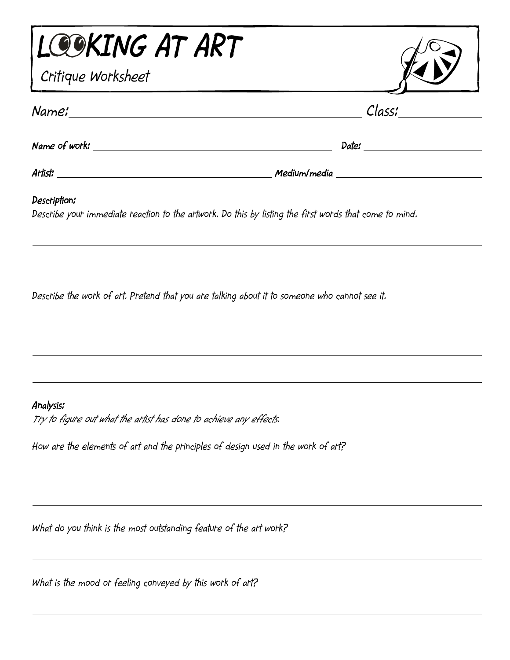| LOOKING AT ART                                                                                                         |        |
|------------------------------------------------------------------------------------------------------------------------|--------|
| Critique Worksheet                                                                                                     |        |
|                                                                                                                        | Class; |
| Name of work:                                                                                                          | Date:  |
|                                                                                                                        |        |
| Description;<br>Describe your immediate reaction to the artwork. Do this by listing the first words that come to mind. |        |
| Describe the work of art. Pretend that you are talking about it to someone who cannot see it.                          |        |
|                                                                                                                        |        |
|                                                                                                                        |        |
| Analysis:<br>Try to figure out what the artist has done to achieve any effects.                                        |        |
| How are the elements of art and the principles of design used in the work of art?                                      |        |

*What do you think is the most outstanding feature of the art work?* 

*What is the mood or feeling conveyed by this work of art?*